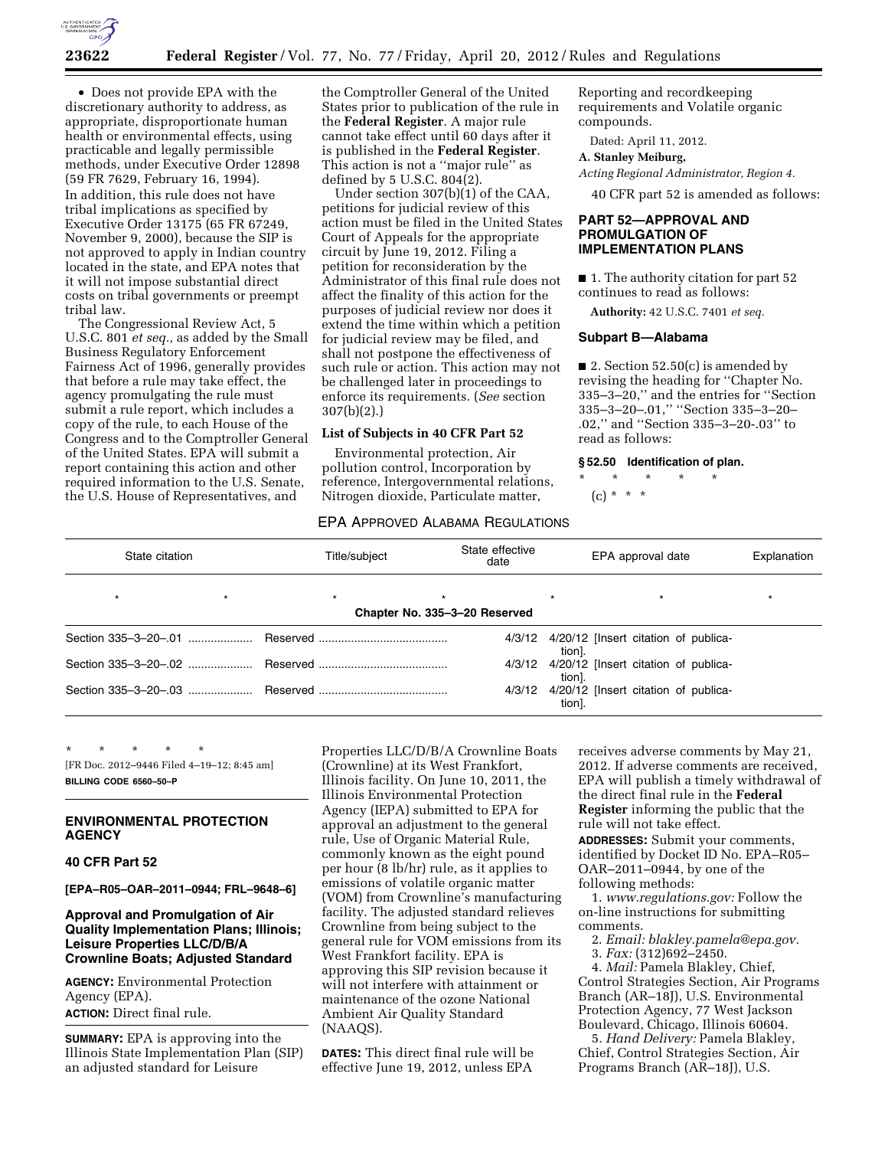

• Does not provide EPA with the discretionary authority to address, as appropriate, disproportionate human health or environmental effects, using practicable and legally permissible methods, under Executive Order 12898 (59 FR 7629, February 16, 1994). In addition, this rule does not have tribal implications as specified by Executive Order 13175 (65 FR 67249, November 9, 2000), because the SIP is not approved to apply in Indian country located in the state, and EPA notes that it will not impose substantial direct costs on tribal governments or preempt tribal law.

The Congressional Review Act, 5 U.S.C. 801 *et seq.,* as added by the Small Business Regulatory Enforcement Fairness Act of 1996, generally provides that before a rule may take effect, the agency promulgating the rule must submit a rule report, which includes a copy of the rule, to each House of the Congress and to the Comptroller General of the United States. EPA will submit a report containing this action and other required information to the U.S. Senate, the U.S. House of Representatives, and

the Comptroller General of the United States prior to publication of the rule in the **Federal Register**. A major rule cannot take effect until 60 days after it is published in the **Federal Register**. This action is not a ''major rule'' as defined by 5 U.S.C. 804(2).

Under section 307(b)(1) of the CAA, petitions for judicial review of this action must be filed in the United States Court of Appeals for the appropriate circuit by June 19, 2012. Filing a petition for reconsideration by the Administrator of this final rule does not affect the finality of this action for the purposes of judicial review nor does it extend the time within which a petition for judicial review may be filed, and shall not postpone the effectiveness of such rule or action. This action may not be challenged later in proceedings to enforce its requirements. (*See* section 307(b)(2).)

## **List of Subjects in 40 CFR Part 52**

Environmental protection, Air pollution control, Incorporation by reference, Intergovernmental relations, Nitrogen dioxide, Particulate matter,

## EPA APPROVED ALABAMA REGULATIONS

Reporting and recordkeeping requirements and Volatile organic compounds.

Dated: April 11, 2012.

#### **A. Stanley Meiburg,**

*Acting Regional Administrator, Region 4.* 

40 CFR part 52 is amended as follows:

## **PART 52—APPROVAL AND PROMULGATION OF IMPLEMENTATION PLANS**

■ 1. The authority citation for part 52 continues to read as follows:

**Authority:** 42 U.S.C. 7401 *et seq.* 

## **Subpart B—Alabama**

■ 2. Section 52.50(c) is amended by revising the heading for ''Chapter No. 335–3–20,'' and the entries for ''Section 335–3–20–.01,'' ''Section 335–3–20– .02,'' and ''Section 335–3–20-.03'' to read as follows:

### **§ 52.50 Identification of plan.**

\* \* \* \* \*

 $(c) * * * *$ 

| State citation                |         | Title/subject      | State effective<br>date | EPA approval date |                                      | Explanation |
|-------------------------------|---------|--------------------|-------------------------|-------------------|--------------------------------------|-------------|
| $\star$                       | $\star$ | $\star$<br>$\star$ |                         | $\star$           |                                      |             |
| Chapter No. 335-3-20 Reserved |         |                    |                         |                   |                                      |             |
|                               |         |                    | 4/3/12                  | tion <sub>l</sub> | 4/20/12 [Insert citation of publica- |             |
| Section 335-3-20-.02          |         | Reserved           | 4/3/12                  | tion].            | 4/20/12 [Insert citation of publica- |             |
| Section 335-3-20-.03          |         |                    | 4/3/12                  | tion]             | 4/20/12 [Insert citation of publica- |             |

\* \* \* \* \* [FR Doc. 2012–9446 Filed 4–19–12; 8:45 am] **BILLING CODE 6560–50–P** 

# **ENVIRONMENTAL PROTECTION AGENCY**

**40 CFR Part 52** 

**[EPA–R05–OAR–2011–0944; FRL–9648–6]** 

## **Approval and Promulgation of Air Quality Implementation Plans; Illinois; Leisure Properties LLC/D/B/A Crownline Boats; Adjusted Standard**

**AGENCY:** Environmental Protection Agency (EPA). **ACTION:** Direct final rule.

**SUMMARY:** EPA is approving into the Illinois State Implementation Plan (SIP) an adjusted standard for Leisure

Properties LLC/D/B/A Crownline Boats (Crownline) at its West Frankfort, Illinois facility. On June 10, 2011, the Illinois Environmental Protection Agency (IEPA) submitted to EPA for approval an adjustment to the general rule, Use of Organic Material Rule, commonly known as the eight pound per hour (8 lb/hr) rule, as it applies to emissions of volatile organic matter (VOM) from Crownline's manufacturing facility. The adjusted standard relieves Crownline from being subject to the general rule for VOM emissions from its West Frankfort facility. EPA is approving this SIP revision because it will not interfere with attainment or maintenance of the ozone National Ambient Air Quality Standard (NAAQS).

**DATES:** This direct final rule will be effective June 19, 2012, unless EPA

receives adverse comments by May 21, 2012. If adverse comments are received, EPA will publish a timely withdrawal of the direct final rule in the **Federal Register** informing the public that the rule will not take effect.

**ADDRESSES:** Submit your comments, identified by Docket ID No. EPA–R05– OAR–2011–0944, by one of the following methods:

1. *[www.regulations.gov:](http://www.regulations.gov)* Follow the on-line instructions for submitting comments.

2. *Email: [blakley.pamela@epa.gov.](mailto:blakley.pamela@epa.gov)* 

3. *Fax:* (312)692–2450.

4. *Mail:* Pamela Blakley, Chief, Control Strategies Section, Air Programs Branch (AR–18J), U.S. Environmental Protection Agency, 77 West Jackson Boulevard, Chicago, Illinois 60604.

5. *Hand Delivery:* Pamela Blakley, Chief, Control Strategies Section, Air Programs Branch (AR–18J), U.S.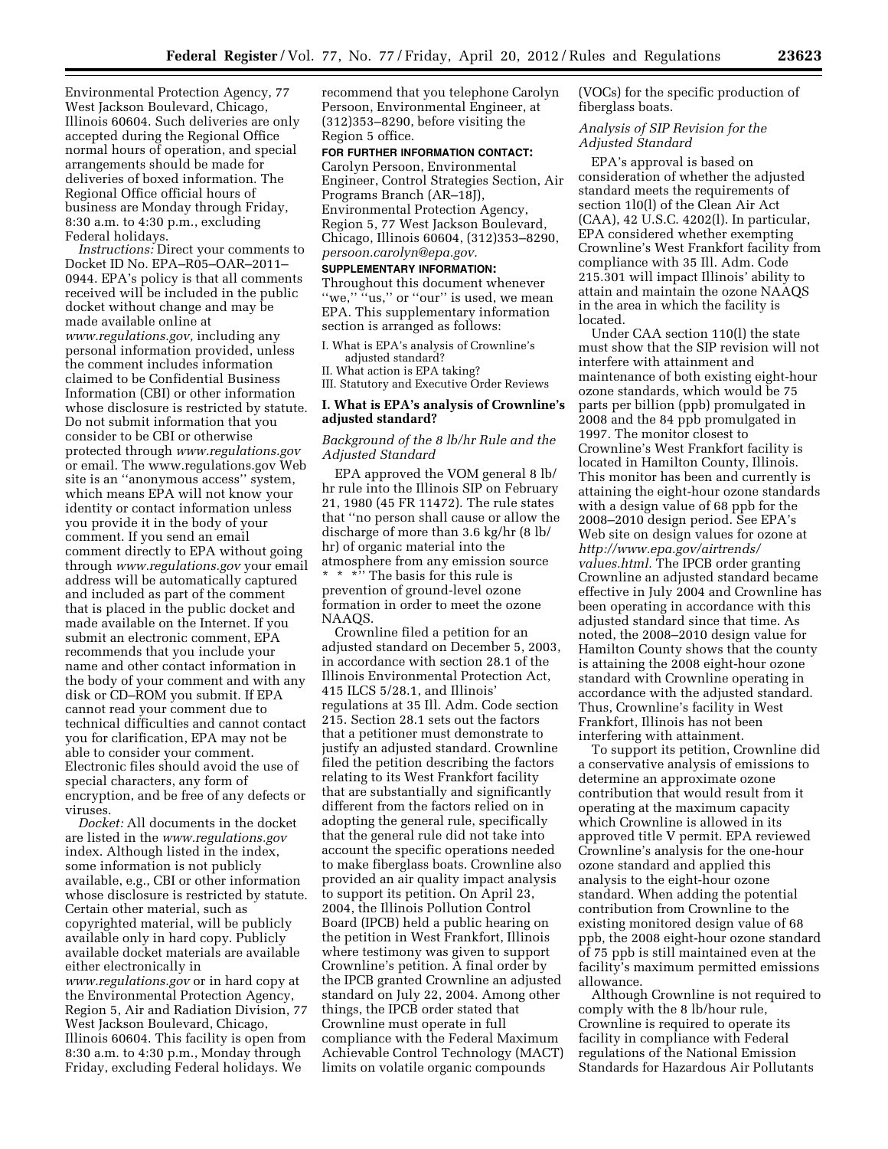Environmental Protection Agency, 77 West Jackson Boulevard, Chicago, Illinois 60604. Such deliveries are only accepted during the Regional Office normal hours of operation, and special arrangements should be made for deliveries of boxed information. The Regional Office official hours of business are Monday through Friday, 8:30 a.m. to 4:30 p.m., excluding Federal holidays.

*Instructions:* Direct your comments to Docket ID No. EPA–R05–OAR–2011– 0944. EPA's policy is that all comments received will be included in the public docket without change and may be made available online at *[www.regulations.gov,](http://www.regulations.gov)* including any personal information provided, unless the comment includes information claimed to be Confidential Business Information (CBI) or other information whose disclosure is restricted by statute. Do not submit information that you consider to be CBI or otherwise protected through *[www.regulations.gov](http://www.regulations.gov)*  or email. The [www.regulations.gov](http://www.regulations.gov) Web site is an ''anonymous access'' system, which means EPA will not know your identity or contact information unless you provide it in the body of your comment. If you send an email comment directly to EPA without going through *[www.regulations.gov](http://www.regulations.gov)* your email address will be automatically captured and included as part of the comment that is placed in the public docket and made available on the Internet. If you submit an electronic comment, EPA recommends that you include your name and other contact information in the body of your comment and with any disk or CD–ROM you submit. If EPA cannot read your comment due to technical difficulties and cannot contact you for clarification, EPA may not be able to consider your comment. Electronic files should avoid the use of special characters, any form of encryption, and be free of any defects or viruses.

*Docket:* All documents in the docket are listed in the *[www.regulations.gov](http://www.regulations.gov)*  index. Although listed in the index, some information is not publicly available, e.g., CBI or other information whose disclosure is restricted by statute. Certain other material, such as copyrighted material, will be publicly available only in hard copy. Publicly available docket materials are available either electronically in *[www.regulations.gov](http://www.regulations.gov)* or in hard copy at the Environmental Protection Agency, Region 5, Air and Radiation Division, 77 West Jackson Boulevard, Chicago, Illinois 60604. This facility is open from 8:30 a.m. to 4:30 p.m., Monday through Friday, excluding Federal holidays. We

recommend that you telephone Carolyn Persoon, Environmental Engineer, at (312)353–8290, before visiting the Region 5 office.

### **FOR FURTHER INFORMATION CONTACT:**

Carolyn Persoon, Environmental Engineer, Control Strategies Section, Air Programs Branch (AR–18J), Environmental Protection Agency, Region 5, 77 West Jackson Boulevard, Chicago, Illinois 60604, (312)353–8290, *[persoon.carolyn@epa.gov.](mailto:persoon.carolyn@epa.gov)* 

#### **SUPPLEMENTARY INFORMATION:**

Throughout this document whenever "we," "us," or "our" is used, we mean EPA. This supplementary information section is arranged as follows:

I. What is EPA's analysis of Crownline's adjusted standard?

II. What action is EPA taking?

III. Statutory and Executive Order Reviews

## **I. What is EPA's analysis of Crownline's adjusted standard?**

## *Background of the 8 lb/hr Rule and the Adjusted Standard*

EPA approved the VOM general 8 lb/ hr rule into the Illinois SIP on February 21, 1980 (45 FR 11472). The rule states that ''no person shall cause or allow the discharge of more than 3.6 kg/hr (8 lb/ hr) of organic material into the atmosphere from any emission source \* \* \*'' The basis for this rule is prevention of ground-level ozone formation in order to meet the ozone NAAQS.

Crownline filed a petition for an adjusted standard on December 5, 2003, in accordance with section 28.1 of the Illinois Environmental Protection Act, 415 ILCS 5/28.1, and Illinois' regulations at 35 Ill. Adm. Code section 215. Section 28.1 sets out the factors that a petitioner must demonstrate to justify an adjusted standard. Crownline filed the petition describing the factors relating to its West Frankfort facility that are substantially and significantly different from the factors relied on in adopting the general rule, specifically that the general rule did not take into account the specific operations needed to make fiberglass boats. Crownline also provided an air quality impact analysis to support its petition. On April 23, 2004, the Illinois Pollution Control Board (IPCB) held a public hearing on the petition in West Frankfort, Illinois where testimony was given to support Crownline's petition. A final order by the IPCB granted Crownline an adjusted standard on July 22, 2004. Among other things, the IPCB order stated that Crownline must operate in full compliance with the Federal Maximum Achievable Control Technology (MACT) limits on volatile organic compounds

(VOCs) for the specific production of fiberglass boats.

## *Analysis of SIP Revision for the Adjusted Standard*

EPA's approval is based on consideration of whether the adjusted standard meets the requirements of section 1l0(l) of the Clean Air Act (CAA), 42 U.S.C. 4202(l). In particular, EPA considered whether exempting Crownline's West Frankfort facility from compliance with 35 Ill. Adm. Code 215.301 will impact Illinois' ability to attain and maintain the ozone NAAQS in the area in which the facility is located.

Under CAA section 110(l) the state must show that the SIP revision will not interfere with attainment and maintenance of both existing eight-hour ozone standards, which would be 75 parts per billion (ppb) promulgated in 2008 and the 84 ppb promulgated in 1997. The monitor closest to Crownline's West Frankfort facility is located in Hamilton County, Illinois. This monitor has been and currently is attaining the eight-hour ozone standards with a design value of 68 ppb for the 2008–2010 design period. See EPA's Web site on design values for ozone at *[http://www.epa.gov/airtrends/](http://www.epa.gov/airtrends/values.html)  [values.html.](http://www.epa.gov/airtrends/values.html)* The IPCB order granting Crownline an adjusted standard became effective in July 2004 and Crownline has been operating in accordance with this adjusted standard since that time. As noted, the 2008–2010 design value for Hamilton County shows that the county is attaining the 2008 eight-hour ozone standard with Crownline operating in accordance with the adjusted standard. Thus, Crownline's facility in West Frankfort, Illinois has not been interfering with attainment.

To support its petition, Crownline did a conservative analysis of emissions to determine an approximate ozone contribution that would result from it operating at the maximum capacity which Crownline is allowed in its approved title V permit. EPA reviewed Crownline's analysis for the one-hour ozone standard and applied this analysis to the eight-hour ozone standard. When adding the potential contribution from Crownline to the existing monitored design value of 68 ppb, the 2008 eight-hour ozone standard of 75 ppb is still maintained even at the facility's maximum permitted emissions allowance.

Although Crownline is not required to comply with the 8 lb/hour rule, Crownline is required to operate its facility in compliance with Federal regulations of the National Emission Standards for Hazardous Air Pollutants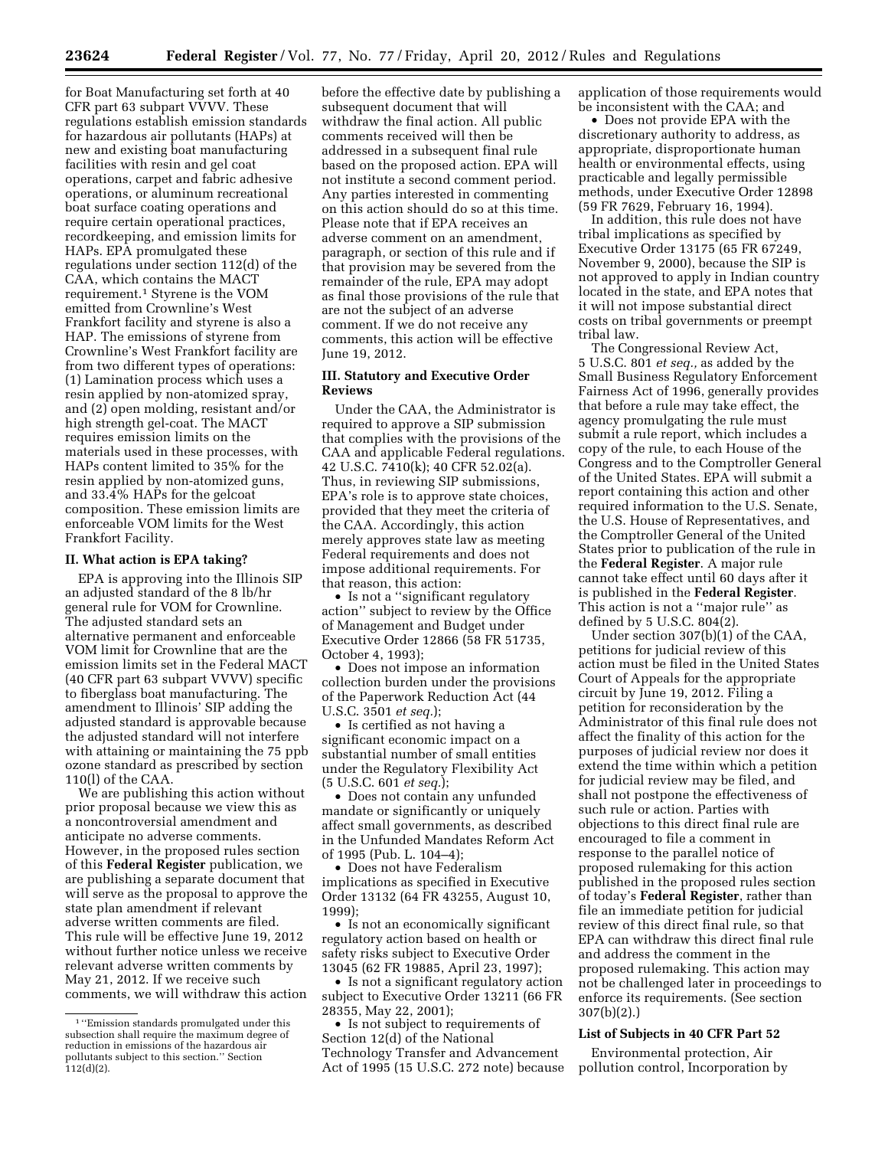for Boat Manufacturing set forth at 40 CFR part 63 subpart VVVV. These regulations establish emission standards for hazardous air pollutants (HAPs) at new and existing boat manufacturing facilities with resin and gel coat operations, carpet and fabric adhesive operations, or aluminum recreational boat surface coating operations and require certain operational practices, recordkeeping, and emission limits for HAPs. EPA promulgated these regulations under section 112(d) of the CAA, which contains the MACT requirement.1 Styrene is the VOM emitted from Crownline's West Frankfort facility and styrene is also a HAP. The emissions of styrene from Crownline's West Frankfort facility are from two different types of operations: (1) Lamination process which uses a resin applied by non-atomized spray, and (2) open molding, resistant and/or high strength gel-coat. The MACT requires emission limits on the materials used in these processes, with HAPs content limited to 35% for the resin applied by non-atomized guns, and 33.4% HAPs for the gelcoat composition. These emission limits are enforceable VOM limits for the West Frankfort Facility.

### **II. What action is EPA taking?**

EPA is approving into the Illinois SIP an adjusted standard of the 8 lb/hr general rule for VOM for Crownline. The adjusted standard sets an alternative permanent and enforceable VOM limit for Crownline that are the emission limits set in the Federal MACT (40 CFR part 63 subpart VVVV) specific to fiberglass boat manufacturing. The amendment to Illinois' SIP adding the adjusted standard is approvable because the adjusted standard will not interfere with attaining or maintaining the 75 ppb ozone standard as prescribed by section 110(l) of the CAA.

We are publishing this action without prior proposal because we view this as a noncontroversial amendment and anticipate no adverse comments. However, in the proposed rules section of this **Federal Register** publication, we are publishing a separate document that will serve as the proposal to approve the state plan amendment if relevant adverse written comments are filed. This rule will be effective June 19, 2012 without further notice unless we receive relevant adverse written comments by May 21, 2012. If we receive such comments, we will withdraw this action

before the effective date by publishing a subsequent document that will withdraw the final action. All public comments received will then be addressed in a subsequent final rule based on the proposed action. EPA will not institute a second comment period. Any parties interested in commenting on this action should do so at this time. Please note that if EPA receives an adverse comment on an amendment, paragraph, or section of this rule and if that provision may be severed from the remainder of the rule, EPA may adopt as final those provisions of the rule that are not the subject of an adverse comment. If we do not receive any comments, this action will be effective June 19, 2012.

## **III. Statutory and Executive Order Reviews**

Under the CAA, the Administrator is required to approve a SIP submission that complies with the provisions of the CAA and applicable Federal regulations. 42 U.S.C. 7410(k); 40 CFR 52.02(a). Thus, in reviewing SIP submissions, EPA's role is to approve state choices, provided that they meet the criteria of the CAA. Accordingly, this action merely approves state law as meeting Federal requirements and does not impose additional requirements. For that reason, this action:

• Is not a ''significant regulatory action'' subject to review by the Office of Management and Budget under Executive Order 12866 (58 FR 51735, October 4, 1993);

• Does not impose an information collection burden under the provisions of the Paperwork Reduction Act (44 U.S.C. 3501 *et seq.*);

• Is certified as not having a significant economic impact on a substantial number of small entities under the Regulatory Flexibility Act (5 U.S.C. 601 *et seq.*);

• Does not contain any unfunded mandate or significantly or uniquely affect small governments, as described in the Unfunded Mandates Reform Act of 1995 (Pub. L. 104–4);

• Does not have Federalism implications as specified in Executive Order 13132 (64 FR 43255, August 10, 1999);

• Is not an economically significant regulatory action based on health or safety risks subject to Executive Order 13045 (62 FR 19885, April 23, 1997);

• Is not a significant regulatory action subject to Executive Order 13211 (66 FR 28355, May 22, 2001);

• Is not subject to requirements of Section 12(d) of the National Technology Transfer and Advancement Act of 1995 (15 U.S.C. 272 note) because application of those requirements would be inconsistent with the CAA; and

• Does not provide EPA with the discretionary authority to address, as appropriate, disproportionate human health or environmental effects, using practicable and legally permissible methods, under Executive Order 12898 (59 FR 7629, February 16, 1994).

In addition, this rule does not have tribal implications as specified by Executive Order 13175 (65 FR 67249, November 9, 2000), because the SIP is not approved to apply in Indian country located in the state, and EPA notes that it will not impose substantial direct costs on tribal governments or preempt tribal law.

The Congressional Review Act, 5 U.S.C. 801 *et seq.,* as added by the Small Business Regulatory Enforcement Fairness Act of 1996, generally provides that before a rule may take effect, the agency promulgating the rule must submit a rule report, which includes a copy of the rule, to each House of the Congress and to the Comptroller General of the United States. EPA will submit a report containing this action and other required information to the U.S. Senate, the U.S. House of Representatives, and the Comptroller General of the United States prior to publication of the rule in the **Federal Register**. A major rule cannot take effect until 60 days after it is published in the **Federal Register**. This action is not a ''major rule'' as defined by 5 U.S.C. 804(2).

Under section 307(b)(1) of the CAA, petitions for judicial review of this action must be filed in the United States Court of Appeals for the appropriate circuit by June 19, 2012. Filing a petition for reconsideration by the Administrator of this final rule does not affect the finality of this action for the purposes of judicial review nor does it extend the time within which a petition for judicial review may be filed, and shall not postpone the effectiveness of such rule or action. Parties with objections to this direct final rule are encouraged to file a comment in response to the parallel notice of proposed rulemaking for this action published in the proposed rules section of today's **Federal Register**, rather than file an immediate petition for judicial review of this direct final rule, so that EPA can withdraw this direct final rule and address the comment in the proposed rulemaking. This action may not be challenged later in proceedings to enforce its requirements. (See section 307(b)(2).)

### **List of Subjects in 40 CFR Part 52**

Environmental protection, Air pollution control, Incorporation by

<sup>1</sup> ''Emission standards promulgated under this subsection shall require the maximum degree of reduction in emissions of the hazardous air pollutants subject to this section.'' Section  $112(d)(2)$ .